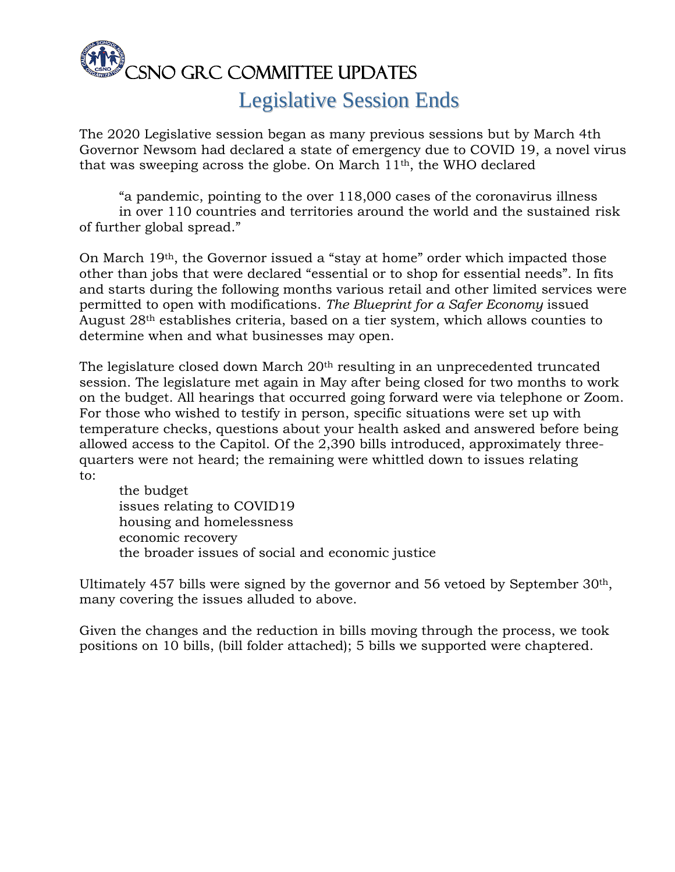

## Legislative Session Ends

The 2020 Legislative session began as many previous sessions but by March 4th Governor Newsom had declared a state of emergency due to COVID 19, a novel virus that was sweeping across the globe. On March 11th, the WHO declared

"a pandemic, pointing to the over 118,000 cases of the coronavirus illness in over 110 countries and territories around the world and the sustained risk of further global spread."

On March 19th, the Governor issued a "stay at home" order which impacted those other than jobs that were declared "essential or to shop for essential needs". In fits and starts during the following months various retail and other limited services were permitted to open with modifications. *The Blueprint for a Safer Economy* issued August 28th establishes criteria, based on a tier system, which allows counties to determine when and what businesses may open.

The legislature closed down March 20th resulting in an unprecedented truncated session. The legislature met again in May after being closed for two months to work on the budget. All hearings that occurred going forward were via telephone or Zoom. For those who wished to testify in person, specific situations were set up with temperature checks, questions about your health asked and answered before being allowed access to the Capitol. Of the 2,390 bills introduced, approximately threequarters were not heard; the remaining were whittled down to issues relating to:

the budget issues relating to COVID19 housing and homelessness economic recovery the broader issues of social and economic justice

Ultimately 457 bills were signed by the governor and 56 vetoed by September  $30<sup>th</sup>$ , many covering the issues alluded to above.

Given the changes and the reduction in bills moving through the process, we took positions on 10 bills, (bill folder attached); 5 bills we supported were chaptered.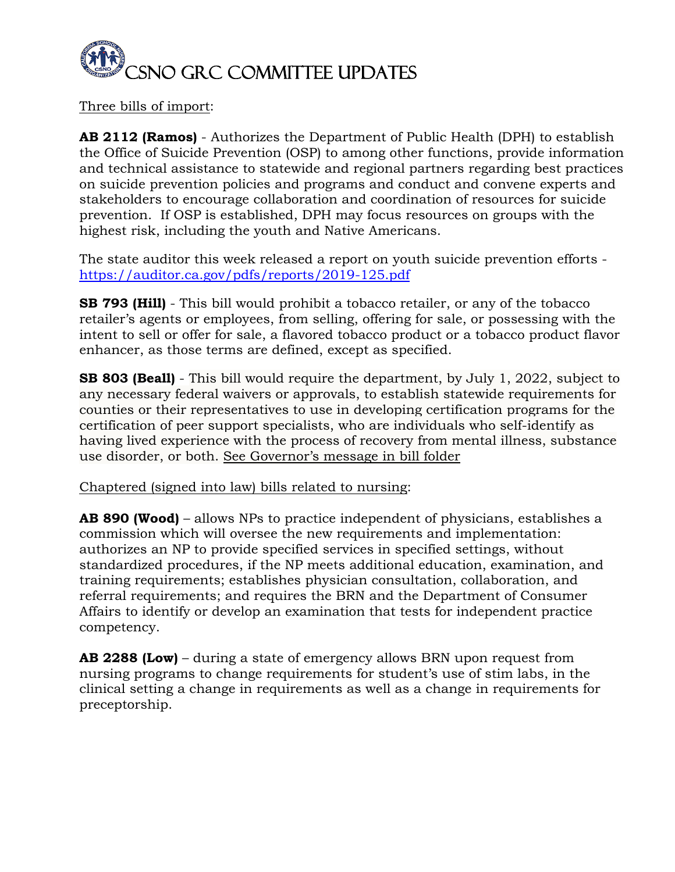

Three bills of import:

**AB 2112 (Ramos)** - Authorizes the Department of Public Health (DPH) to establish the Office of Suicide Prevention (OSP) to among other functions, provide information and technical assistance to statewide and regional partners regarding best practices on suicide prevention policies and programs and conduct and convene experts and stakeholders to encourage collaboration and coordination of resources for suicide prevention. If OSP is established, DPH may focus resources on groups with the highest risk, including the youth and Native Americans.

The state auditor this week released a report on youth suicide prevention efforts <https://auditor.ca.gov/pdfs/reports/2019-125.pdf>

**SB 793 (Hill)** - This bill would prohibit a tobacco retailer, or any of the tobacco retailer's agents or employees, from selling, offering for sale, or possessing with the intent to sell or offer for sale, a flavored tobacco product or a tobacco product flavor enhancer, as those terms are defined, except as specified.

**SB 803 (Beall)** - This bill would require the department, by July 1, 2022, subject to any necessary federal waivers or approvals, to establish statewide requirements for counties or their representatives to use in developing certification programs for the certification of peer support specialists, who are individuals who self-identify as having lived experience with the process of recovery from mental illness, substance use disorder, or both. See Governor's message in bill folder

Chaptered (signed into law) bills related to nursing:

**AB 890 (Wood)** – allows NPs to practice independent of physicians, establishes a commission which will oversee the new requirements and implementation: authorizes an NP to provide specified services in specified settings, without standardized procedures, if the NP meets additional education, examination, and training requirements; establishes physician consultation, collaboration, and referral requirements; and requires the BRN and the Department of Consumer Affairs to identify or develop an examination that tests for independent practice competency.

**AB 2288 (Low)** – during a state of emergency allows BRN upon request from nursing programs to change requirements for student's use of stim labs, in the clinical setting a change in requirements as well as a change in requirements for preceptorship.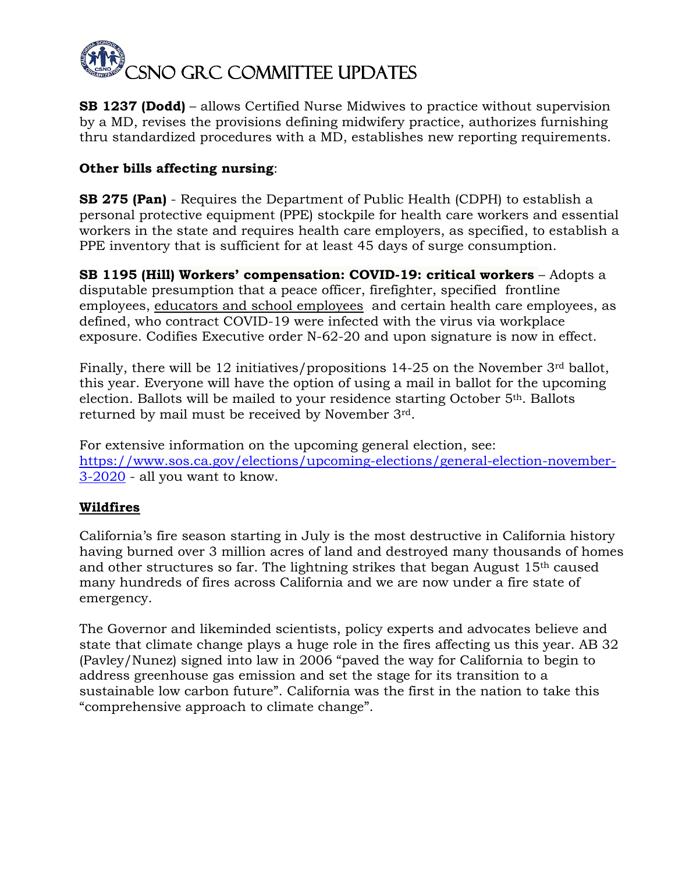

**SB 1237 (Dodd)** – allows Certified Nurse Midwives to practice without supervision by a MD, revises the provisions defining midwifery practice, authorizes furnishing thru standardized procedures with a MD, establishes new reporting requirements.

## **Other bills affecting nursing**:

**SB 275 (Pan)** - Requires the Department of Public Health (CDPH) to establish a personal protective equipment (PPE) stockpile for health care workers and essential workers in the state and requires health care employers, as specified, to establish a PPE inventory that is sufficient for at least 45 days of surge consumption.

**SB 1195 (Hill) Workers' compensation: COVID-19: critical workers** – Adopts a disputable presumption that a peace officer, firefighter, specified frontline employees, educators and school employees and certain health care employees, as defined, who contract COVID-19 were infected with the virus via workplace exposure. Codifies Executive order N-62-20 and upon signature is now in effect.

Finally, there will be 12 initiatives/propositions 14-25 on the November 3rd ballot, this year. Everyone will have the option of using a mail in ballot for the upcoming election. Ballots will be mailed to your residence starting October 5th. Ballots returned by mail must be received by November 3rd.

For extensive information on the upcoming general election, see: [https://www.sos.ca.gov/elections/upcoming-elections/general-election-november-](https://www.sos.ca.gov/elections/upcoming-elections/general-election-november-3-2020)[3-2020](https://www.sos.ca.gov/elections/upcoming-elections/general-election-november-3-2020) - all you want to know.

## **Wildfires**

California's fire season starting in July is the most destructive in California history having burned over 3 million acres of land and destroyed many thousands of homes and other structures so far. The lightning strikes that began August 15th caused many hundreds of fires across California and we are now under a fire state of emergency.

The Governor and likeminded scientists, policy experts and advocates believe and state that climate change plays a huge role in the fires affecting us this year. AB 32 (Pavley/Nunez) signed into law in 2006 "paved the way for California to begin to address greenhouse gas emission and set the stage for its transition to a sustainable low carbon future". California was the first in the nation to take this "comprehensive approach to climate change".